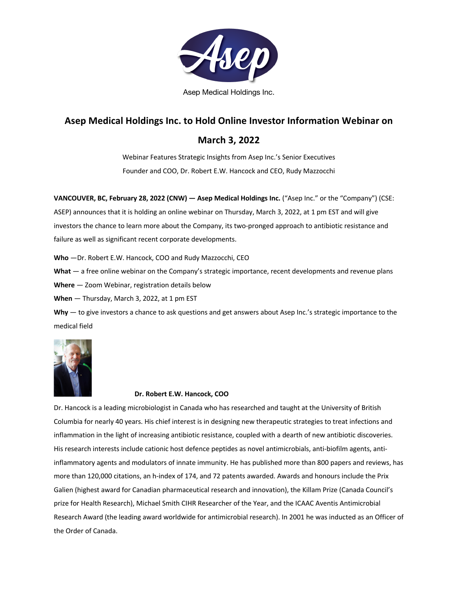

Asep Medical Holdings Inc.

# **Asep Medical Holdings Inc. to Hold Online Investor Information Webinar on**

## **March 3, 2022**

Webinar Features Strategic Insights from Asep Inc.'s Senior Executives Founder and COO, Dr. Robert E.W. Hancock and CEO, Rudy Mazzocchi

**VANCOUVER, BC, February 28, 2022 (CNW) — Asep Medical Holdings Inc.** ("Asep Inc." or the "Company") (CSE: ASEP) announces that it is holding an online webinar on Thursday, March 3, 2022, at 1 pm EST and will give investors the chance to learn more about the Company, its two-pronged approach to antibiotic resistance and failure as well as significant recent corporate developments.

**Who** —Dr. Robert E.W. Hancock, COO and Rudy Mazzocchi, CEO

**What** — a free online webinar on the Company's strategic importance, recent developments and revenue plans

**Where** — Zoom Webinar, registration details below

**When** — Thursday, March 3, 2022, at 1 pm EST

**Why** — to give investors a chance to ask questions and get answers about Asep Inc.'s strategic importance to the medical field



#### **Dr. Robert E.W. Hancock, COO**

Dr. Hancock is a leading microbiologist in Canada who has researched and taught at the University of British Columbia for nearly 40 years. His chief interest is in designing new therapeutic strategies to treat infections and inflammation in the light of increasing antibiotic resistance, coupled with a dearth of new antibiotic discoveries. His research interests include cationic host defence peptides as novel antimicrobials, anti-biofilm agents, antiinflammatory agents and modulators of innate immunity. He has published more than 800 papers and reviews, has more than 120,000 citations, an h-index of 174, and 72 patents awarded. Awards and honours include the Prix Galien (highest award for Canadian pharmaceutical research and innovation), the Killam Prize (Canada Council's prize for Health Research), Michael Smith CIHR Researcher of the Year, and the ICAAC Aventis Antimicrobial Research Award (the leading award worldwide for antimicrobial research). In 2001 he was inducted as an Officer of the Order of Canada.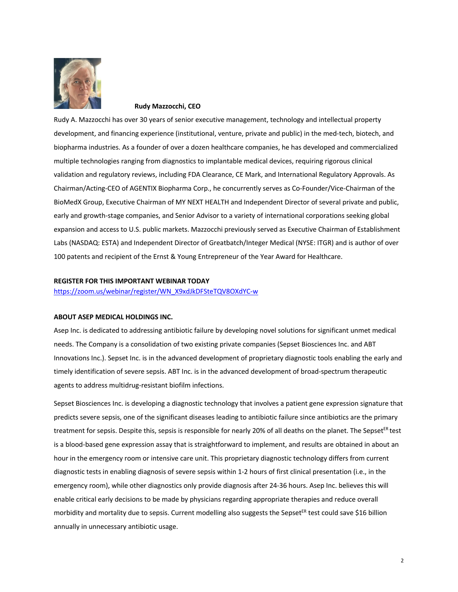

**Rudy Mazzocchi, CEO**

Rudy A. Mazzocchi has over 30 years of senior executive management, technology and intellectual property development, and financing experience (institutional, venture, private and public) in the med-tech, biotech, and biopharma industries. As a founder of over a dozen healthcare companies, he has developed and commercialized multiple technologies ranging from diagnostics to implantable medical devices, requiring rigorous clinical validation and regulatory reviews, including FDA Clearance, CE Mark, and International Regulatory Approvals. As Chairman/Acting-CEO of AGENTIX Biopharma Corp., he concurrently serves as Co-Founder/Vice-Chairman of the BioMedX Group, Executive Chairman of MY NEXT HEALTH and Independent Director of several private and public, early and growth-stage companies, and Senior Advisor to a variety of international corporations seeking global expansion and access to U.S. public markets. Mazzocchi previously served as Executive Chairman of Establishment Labs (NASDAQ: ESTA) and Independent Director of Greatbatch/Integer Medical (NYSE: ITGR) and is author of over 100 patents and recipient of the Ernst & Young Entrepreneur of the Year Award for Healthcare.

#### **REGISTER FOR THIS IMPORTANT WEBINAR TODAY**

https://zoom.us/webinar/register/WN\_X9xdJkDFSteTQV8OXdYC-w

#### **ABOUT ASEP MEDICAL HOLDINGS INC.**

Asep Inc. is dedicated to addressing antibiotic failure by developing novel solutions for significant unmet medical needs. The Company is a consolidation of two existing private companies (Sepset Biosciences Inc. and ABT Innovations Inc.). Sepset Inc. is in the advanced development of proprietary diagnostic tools enabling the early and timely identification of severe sepsis. ABT Inc. is in the advanced development of broad-spectrum therapeutic agents to address multidrug-resistant biofilm infections.

Sepset Biosciences Inc. is developing a diagnostic technology that involves a patient gene expression signature that predicts severe sepsis, one of the significant diseases leading to antibiotic failure since antibiotics are the primary treatment for sepsis. Despite this, sepsis is responsible for nearly 20% of all deaths on the planet. The Sepset<sup>ER</sup> test is a blood-based gene expression assay that is straightforward to implement, and results are obtained in about an hour in the emergency room or intensive care unit. This proprietary diagnostic technology differs from current diagnostic tests in enabling diagnosis of severe sepsis within 1-2 hours of first clinical presentation (i.e., in the emergency room), while other diagnostics only provide diagnosis after 24-36 hours. Asep Inc. believes this will enable critical early decisions to be made by physicians regarding appropriate therapies and reduce overall morbidity and mortality due to sepsis. Current modelling also suggests the Sepset<sup>ER</sup> test could save \$16 billion annually in unnecessary antibiotic usage.